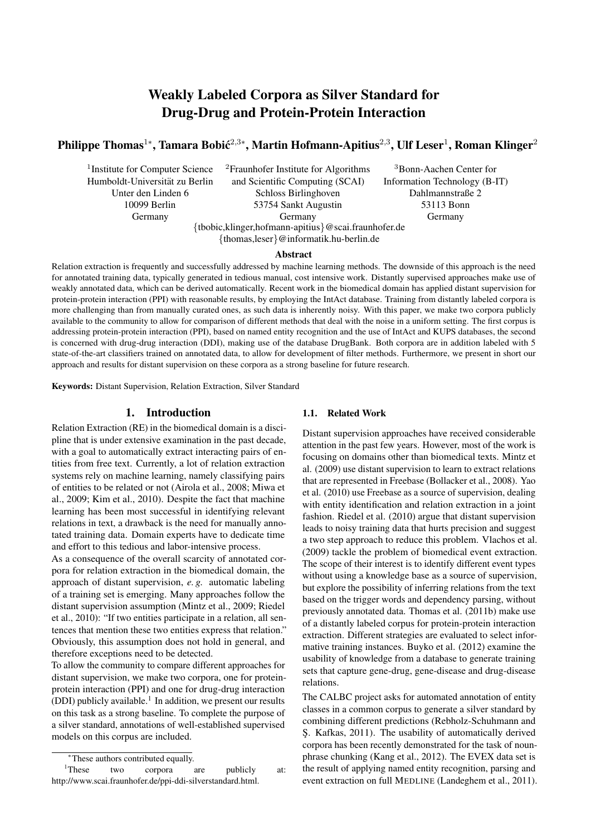# Weakly Labeled Corpora as Silver Standard for Drug-Drug and Protein-Protein Interaction

## Philippe Thomas $^{1*}$ , Tamara Bobić $^{2,3*}$ , Martin Hofmann-Apitius $^{2,3}$ , Ulf Leser $^1$ , Roman Klinger $^2$

1 Institute for Computer Science Humboldt-Universitat zu Berlin ¨ Unter den Linden 6 10099 Berlin Germany

<sup>2</sup>Fraunhofer Institute for Algorithms and Scientific Computing (SCAI) Schloss Birlinghoven 53754 Sankt Augustin Germany {tbobic,klinger,hofmann-apitius}@scai.fraunhofer.de

<sup>3</sup>Bonn-Aachen Center for Information Technology (B-IT) Dahlmannstraße 2 53113 Bonn Germany

{thomas,leser}@informatik.hu-berlin.de

#### Abstract

Relation extraction is frequently and successfully addressed by machine learning methods. The downside of this approach is the need for annotated training data, typically generated in tedious manual, cost intensive work. Distantly supervised approaches make use of weakly annotated data, which can be derived automatically. Recent work in the biomedical domain has applied distant supervision for protein-protein interaction (PPI) with reasonable results, by employing the IntAct database. Training from distantly labeled corpora is more challenging than from manually curated ones, as such data is inherently noisy. With this paper, we make two corpora publicly available to the community to allow for comparison of different methods that deal with the noise in a uniform setting. The first corpus is addressing protein-protein interaction (PPI), based on named entity recognition and the use of IntAct and KUPS databases, the second is concerned with drug-drug interaction (DDI), making use of the database DrugBank. Both corpora are in addition labeled with 5 state-of-the-art classifiers trained on annotated data, to allow for development of filter methods. Furthermore, we present in short our approach and results for distant supervision on these corpora as a strong baseline for future research.

Keywords: Distant Supervision, Relation Extraction, Silver Standard

## 1. Introduction

Relation Extraction (RE) in the biomedical domain is a discipline that is under extensive examination in the past decade, with a goal to automatically extract interacting pairs of entities from free text. Currently, a lot of relation extraction systems rely on machine learning, namely classifying pairs of entities to be related or not (Airola et al., 2008; Miwa et al., 2009; Kim et al., 2010). Despite the fact that machine learning has been most successful in identifying relevant relations in text, a drawback is the need for manually annotated training data. Domain experts have to dedicate time and effort to this tedious and labor-intensive process.

As a consequence of the overall scarcity of annotated corpora for relation extraction in the biomedical domain, the approach of distant supervision, *e. g.* automatic labeling of a training set is emerging. Many approaches follow the distant supervision assumption (Mintz et al., 2009; Riedel et al., 2010): "If two entities participate in a relation, all sentences that mention these two entities express that relation." Obviously, this assumption does not hold in general, and therefore exceptions need to be detected.

To allow the community to compare different approaches for distant supervision, we make two corpora, one for proteinprotein interaction (PPI) and one for drug-drug interaction (DDI) publicly available.<sup>1</sup> In addition, we present our results on this task as a strong baseline. To complete the purpose of a silver standard, annotations of well-established supervised models on this corpus are included.

## 1.1. Related Work

Distant supervision approaches have received considerable attention in the past few years. However, most of the work is focusing on domains other than biomedical texts. Mintz et al. (2009) use distant supervision to learn to extract relations that are represented in Freebase (Bollacker et al., 2008). Yao et al. (2010) use Freebase as a source of supervision, dealing with entity identification and relation extraction in a joint fashion. Riedel et al. (2010) argue that distant supervision leads to noisy training data that hurts precision and suggest a two step approach to reduce this problem. Vlachos et al. (2009) tackle the problem of biomedical event extraction. The scope of their interest is to identify different event types without using a knowledge base as a source of supervision, but explore the possibility of inferring relations from the text based on the trigger words and dependency parsing, without previously annotated data. Thomas et al. (2011b) make use of a distantly labeled corpus for protein-protein interaction extraction. Different strategies are evaluated to select informative training instances. Buyko et al. (2012) examine the usability of knowledge from a database to generate training sets that capture gene-drug, gene-disease and drug-disease relations.

The CALBC project asks for automated annotation of entity classes in a common corpus to generate a silver standard by combining different predictions (Rebholz-Schuhmann and S¸. Kafkas, 2011). The usability of automatically derived corpora has been recently demonstrated for the task of nounphrase chunking (Kang et al., 2012). The EVEX data set is the result of applying named entity recognition, parsing and event extraction on full MEDLINE (Landeghem et al., 2011).

<sup>∗</sup>These authors contributed equally.

<sup>&</sup>lt;sup>1</sup>These two corpora are publicly at: http://www.scai.fraunhofer.de/ppi-ddi-silverstandard.html.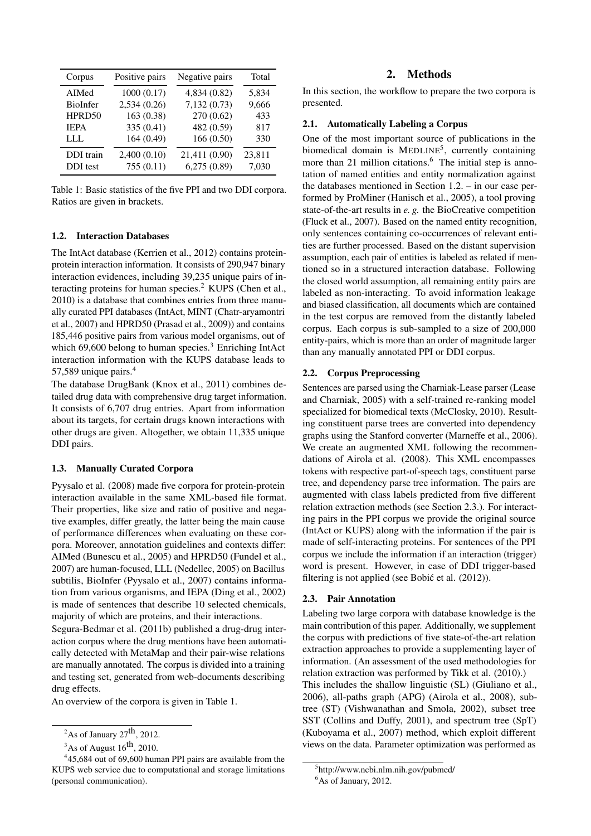| Corpus                       | Positive pairs           | Negative pairs               | Total           |
|------------------------------|--------------------------|------------------------------|-----------------|
| AIMed                        | 1000(0.17)               | 4,834 (0.82)                 | 5,834           |
| BioInfer                     | 2,534 (0.26)             | 7,132 (0.73)                 | 9,666           |
| HPRD50                       | 163 (0.38)               | 270 (0.62)                   | 433             |
| <b>IEPA</b>                  | 335 (0.41)               | 482 (0.59)                   | 817             |
| LLL                          | 164(0.49)                | 166(0.50)                    | 330             |
| DDI train<br><b>DDI</b> test | 2,400(0.10)<br>755(0.11) | 21,411 (0.90)<br>6,275(0.89) | 23,811<br>7,030 |

Table 1: Basic statistics of the five PPI and two DDI corpora. Ratios are given in brackets.

#### 1.2. Interaction Databases

The IntAct database (Kerrien et al., 2012) contains proteinprotein interaction information. It consists of 290,947 binary interaction evidences, including 39,235 unique pairs of interacting proteins for human species.<sup>2</sup> KUPS (Chen et al., 2010) is a database that combines entries from three manually curated PPI databases (IntAct, MINT (Chatr-aryamontri et al., 2007) and HPRD50 (Prasad et al., 2009)) and contains 185,446 positive pairs from various model organisms, out of which 69,600 belong to human species.<sup>3</sup> Enriching IntAct interaction information with the KUPS database leads to 57,589 unique pairs.<sup>4</sup>

The database DrugBank (Knox et al., 2011) combines detailed drug data with comprehensive drug target information. It consists of 6,707 drug entries. Apart from information about its targets, for certain drugs known interactions with other drugs are given. Altogether, we obtain 11,335 unique DDI pairs.

### 1.3. Manually Curated Corpora

Pyysalo et al. (2008) made five corpora for protein-protein interaction available in the same XML-based file format. Their properties, like size and ratio of positive and negative examples, differ greatly, the latter being the main cause of performance differences when evaluating on these corpora. Moreover, annotation guidelines and contexts differ: AIMed (Bunescu et al., 2005) and HPRD50 (Fundel et al., 2007) are human-focused, LLL (Nedellec, 2005) on Bacillus subtilis, BioInfer (Pyysalo et al., 2007) contains information from various organisms, and IEPA (Ding et al., 2002) is made of sentences that describe 10 selected chemicals, majority of which are proteins, and their interactions.

Segura-Bedmar et al. (2011b) published a drug-drug interaction corpus where the drug mentions have been automatically detected with MetaMap and their pair-wise relations are manually annotated. The corpus is divided into a training and testing set, generated from web-documents describing drug effects.

An overview of the corpora is given in Table 1.

#### 2. Methods

In this section, the workflow to prepare the two corpora is presented.

## 2.1. Automatically Labeling a Corpus

One of the most important source of publications in the biomedical domain is MEDLINE<sup>5</sup>, currently containing more than 21 million citations.<sup>6</sup> The initial step is annotation of named entities and entity normalization against the databases mentioned in Section 1.2. – in our case performed by ProMiner (Hanisch et al., 2005), a tool proving state-of-the-art results in *e. g.* the BioCreative competition (Fluck et al., 2007). Based on the named entity recognition, only sentences containing co-occurrences of relevant entities are further processed. Based on the distant supervision assumption, each pair of entities is labeled as related if mentioned so in a structured interaction database. Following the closed world assumption, all remaining entity pairs are labeled as non-interacting. To avoid information leakage and biased classification, all documents which are contained in the test corpus are removed from the distantly labeled corpus. Each corpus is sub-sampled to a size of 200,000 entity-pairs, which is more than an order of magnitude larger than any manually annotated PPI or DDI corpus.

## 2.2. Corpus Preprocessing

Sentences are parsed using the Charniak-Lease parser (Lease and Charniak, 2005) with a self-trained re-ranking model specialized for biomedical texts (McClosky, 2010). Resulting constituent parse trees are converted into dependency graphs using the Stanford converter (Marneffe et al., 2006). We create an augmented XML following the recommendations of Airola et al. (2008). This XML encompasses tokens with respective part-of-speech tags, constituent parse tree, and dependency parse tree information. The pairs are augmented with class labels predicted from five different relation extraction methods (see Section 2.3.). For interacting pairs in the PPI corpus we provide the original source (IntAct or KUPS) along with the information if the pair is made of self-interacting proteins. For sentences of the PPI corpus we include the information if an interaction (trigger) word is present. However, in case of DDI trigger-based filtering is not applied (see Bobić et al.  $(2012)$ ).

#### 2.3. Pair Annotation

Labeling two large corpora with database knowledge is the main contribution of this paper. Additionally, we supplement the corpus with predictions of five state-of-the-art relation extraction approaches to provide a supplementing layer of information. (An assessment of the used methodologies for relation extraction was performed by Tikk et al. (2010).)

This includes the shallow linguistic (SL) (Giuliano et al., 2006), all-paths graph (APG) (Airola et al., 2008), subtree (ST) (Vishwanathan and Smola, 2002), subset tree SST (Collins and Duffy, 2001), and spectrum tree (SpT) (Kuboyama et al., 2007) method, which exploit different views on the data. Parameter optimization was performed as

<sup>&</sup>lt;sup>2</sup>As of January  $27<sup>th</sup>$ , 2012.

 $3$ As of August  $16^{th}$ , 2010.

<sup>&</sup>lt;sup>4</sup>45,684 out of 69,600 human PPI pairs are available from the KUPS web service due to computational and storage limitations (personal communication).

<sup>5</sup> http://www.ncbi.nlm.nih.gov/pubmed/

 $6$ As of January, 2012.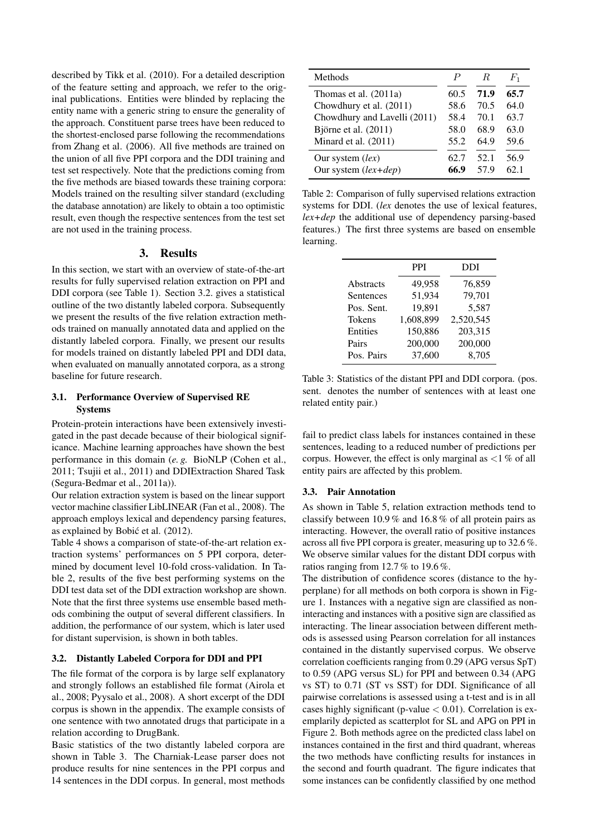described by Tikk et al. (2010). For a detailed description of the feature setting and approach, we refer to the original publications. Entities were blinded by replacing the entity name with a generic string to ensure the generality of the approach. Constituent parse trees have been reduced to the shortest-enclosed parse following the recommendations from Zhang et al. (2006). All five methods are trained on the union of all five PPI corpora and the DDI training and test set respectively. Note that the predictions coming from the five methods are biased towards these training corpora: Models trained on the resulting silver standard (excluding the database annotation) are likely to obtain a too optimistic result, even though the respective sentences from the test set are not used in the training process.

## 3. Results

In this section, we start with an overview of state-of-the-art results for fully supervised relation extraction on PPI and DDI corpora (see Table 1). Section 3.2. gives a statistical outline of the two distantly labeled corpora. Subsequently we present the results of the five relation extraction methods trained on manually annotated data and applied on the distantly labeled corpora. Finally, we present our results for models trained on distantly labeled PPI and DDI data, when evaluated on manually annotated corpora, as a strong baseline for future research.

## 3.1. Performance Overview of Supervised RE Systems

Protein-protein interactions have been extensively investigated in the past decade because of their biological significance. Machine learning approaches have shown the best performance in this domain (*e. g.* BioNLP (Cohen et al., 2011; Tsujii et al., 2011) and DDIExtraction Shared Task (Segura-Bedmar et al., 2011a)).

Our relation extraction system is based on the linear support vector machine classifier LibLINEAR (Fan et al., 2008). The approach employs lexical and dependency parsing features, as explained by Bobić et al. (2012).

Table 4 shows a comparison of state-of-the-art relation extraction systems' performances on 5 PPI corpora, determined by document level 10-fold cross-validation. In Table 2, results of the five best performing systems on the DDI test data set of the DDI extraction workshop are shown. Note that the first three systems use ensemble based methods combining the output of several different classifiers. In addition, the performance of our system, which is later used for distant supervision, is shown in both tables.

#### 3.2. Distantly Labeled Corpora for DDI and PPI

The file format of the corpora is by large self explanatory and strongly follows an established file format (Airola et al., 2008; Pyysalo et al., 2008). A short excerpt of the DDI corpus is shown in the appendix. The example consists of one sentence with two annotated drugs that participate in a relation according to DrugBank.

Basic statistics of the two distantly labeled corpora are shown in Table 3. The Charniak-Lease parser does not produce results for nine sentences in the PPI corpus and 14 sentences in the DDI corpus. In general, most methods

| Methods                      | P    | R.   | $F_1$ |
|------------------------------|------|------|-------|
| Thomas et al. $(2011a)$      | 60.5 | 71.9 | 65.7  |
| Chowdhury et al. (2011)      | 58.6 | 70.5 | 64.0  |
| Chowdhury and Lavelli (2011) | 58.4 | 70.1 | 63.7  |
| Björne et al. (2011)         | 58.0 | 68.9 | 63.0  |
| Minard et al. (2011)         | 55.2 | 64.9 | 59.6  |
| Our system (lex)             | 62.7 | 52.1 | 56.9  |
| Our system $(lex+dep)$       | 66.9 | 57 9 | 62.1  |

Table 2: Comparison of fully supervised relations extraction systems for DDI. (*lex* denotes the use of lexical features, *lex+dep* the additional use of dependency parsing-based features.) The first three systems are based on ensemble learning.

|               | <b>PPI</b> | <b>DDI</b> |
|---------------|------------|------------|
| Abstracts     | 49,958     | 76,859     |
| Sentences     | 51,934     | 79,701     |
| Pos. Sent.    | 19,891     | 5,587      |
| <b>Tokens</b> | 1,608,899  | 2,520,545  |
| Entities      | 150,886    | 203,315    |
| Pairs         | 200,000    | 200,000    |
| Pos. Pairs    | 37,600     | 8,705      |

Table 3: Statistics of the distant PPI and DDI corpora. (pos. sent. denotes the number of sentences with at least one related entity pair.)

fail to predict class labels for instances contained in these sentences, leading to a reduced number of predictions per corpus. However, the effect is only marginal as  $\langle 1 \rangle$  of all entity pairs are affected by this problem.

#### 3.3. Pair Annotation

As shown in Table 5, relation extraction methods tend to classify between 10.9 % and 16.8 % of all protein pairs as interacting. However, the overall ratio of positive instances across all five PPI corpora is greater, measuring up to 32.6 %. We observe similar values for the distant DDI corpus with ratios ranging from 12.7 % to 19.6 %.

The distribution of confidence scores (distance to the hyperplane) for all methods on both corpora is shown in Figure 1. Instances with a negative sign are classified as noninteracting and instances with a positive sign are classified as interacting. The linear association between different methods is assessed using Pearson correlation for all instances contained in the distantly supervised corpus. We observe correlation coefficients ranging from 0.29 (APG versus SpT) to 0.59 (APG versus SL) for PPI and between 0.34 (APG vs ST) to 0.71 (ST vs SST) for DDI. Significance of all pairwise correlations is assessed using a t-test and is in all cases highly significant (p-value  $< 0.01$ ). Correlation is exemplarily depicted as scatterplot for SL and APG on PPI in Figure 2. Both methods agree on the predicted class label on instances contained in the first and third quadrant, whereas the two methods have conflicting results for instances in the second and fourth quadrant. The figure indicates that some instances can be confidently classified by one method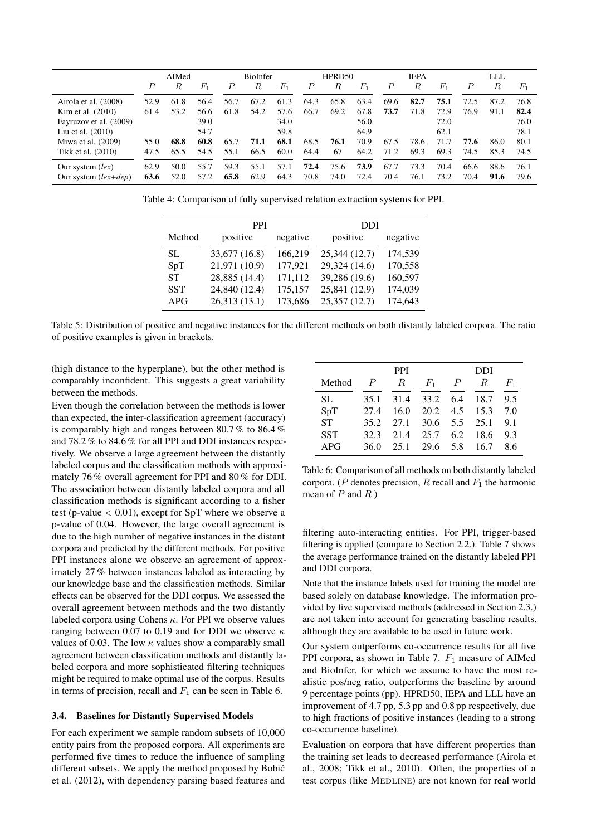|                        | AIMed            |        | <b>BioInfer</b> |                  | HPRD50 |       | <b>IEPA</b>      |        |       | LLL  |      |         |                  |      |       |
|------------------------|------------------|--------|-----------------|------------------|--------|-------|------------------|--------|-------|------|------|---------|------------------|------|-------|
|                        | $\boldsymbol{P}$ | $_{R}$ | $F_1$           | $\boldsymbol{P}$ | R      | $F_1$ | $\boldsymbol{P}$ | $_{R}$ | $F_1$ | Р    | R    | $F_{1}$ | $\boldsymbol{P}$ | R    | $F_1$ |
| Airola et al. (2008)   | 52.9             | 61.8   | 56.4            | 56.7             | 67.2   | 61.3  | 64.3             | 65.8   | 63.4  | 69.6 | 82.7 | 75.1    | 72.5             | 87.2 | 76.8  |
| Kim et al. $(2010)$    | 61.4             | 53.2   | 56.6            | 61.8             | 54.2   | 57.6  | 66.7             | 69.2   | 67.8  | 73.7 | 71.8 | 72.9    | 76.9             | 91.1 | 82.4  |
| Fayruzov et al. (2009) |                  |        | 39.0            |                  |        | 34.0  |                  |        | 56.0  |      |      | 72.0    |                  |      | 76.0  |
| Liu et al. $(2010)$    |                  |        | 54.7            |                  |        | 59.8  |                  |        | 64.9  |      |      | 62.1    |                  |      | 78.1  |
| Miwa et al. $(2009)$   | 55.0             | 68.8   | 60.8            | 65.7             | 71.1   | 68.1  | 68.5             | 76.1   | 70.9  | 67.5 | 78.6 | 71.7    | 77.6             | 86.0 | 80.1  |
| Tikk et al. (2010)     | 47.5             | 65.5   | 54.5            | 55.1             | 66.5   | 60.0  | 64.4             | 67     | 64.2  | 71.2 | 69.3 | 69.3    | 74.5             | 85.3 | 74.5  |
| Our system $(lex)$     | 62.9             | 50.0   | 55.7            | 59.3             | 55.1   | 57.1  | 72.4             | 75.6   | 73.9  | 67.7 | 73.3 | 70.4    | 66.6             | 88.6 | 76.1  |
| Our system $(lex+dep)$ | 63.6             | 52.0   | 57.2            | 65.8             | 62.9   | 64.3  | 70.8             | 74.0   | 72.4  | 70.4 | 76.1 | 73.2    | 70.4             | 91.6 | 79.6  |

Table 4: Comparison of fully supervised relation extraction systems for PPI.

|           | <b>PPI</b>    |          | DDI           |          |  |  |
|-----------|---------------|----------|---------------|----------|--|--|
| Method    | positive      | negative | positive      | negative |  |  |
| SL.       | 33,677 (16.8) | 166,219  | 25,344 (12.7) | 174,539  |  |  |
| SpT       | 21,971 (10.9) | 177,921  | 29,324 (14.6) | 170,558  |  |  |
| <b>ST</b> | 28,885 (14.4) | 171,112  | 39,286 (19.6) | 160,597  |  |  |
| SST       | 24,840 (12.4) | 175,157  | 25,841 (12.9) | 174,039  |  |  |
| APG       | 26,313(13.1)  | 173,686  | 25,357 (12.7) | 174,643  |  |  |

Table 5: Distribution of positive and negative instances for the different methods on both distantly labeled corpora. The ratio of positive examples is given in brackets.

(high distance to the hyperplane), but the other method is comparably inconfident. This suggests a great variability between the methods.

Even though the correlation between the methods is lower than expected, the inter-classification agreement (accuracy) is comparably high and ranges between 80.7 % to 86.4 % and 78.2 % to 84.6 % for all PPI and DDI instances respectively. We observe a large agreement between the distantly labeled corpus and the classification methods with approximately 76 % overall agreement for PPI and 80 % for DDI. The association between distantly labeled corpora and all classification methods is significant according to a fisher test (p-value  $< 0.01$ ), except for SpT where we observe a p-value of 0.04. However, the large overall agreement is due to the high number of negative instances in the distant corpora and predicted by the different methods. For positive PPI instances alone we observe an agreement of approximately 27 % between instances labeled as interacting by our knowledge base and the classification methods. Similar effects can be observed for the DDI corpus. We assessed the overall agreement between methods and the two distantly labeled corpora using Cohens  $\kappa$ . For PPI we observe values ranging between 0.07 to 0.19 and for DDI we observe  $\kappa$ values of 0.03. The low  $\kappa$  values show a comparably small agreement between classification methods and distantly labeled corpora and more sophisticated filtering techniques might be required to make optimal use of the corpus. Results in terms of precision, recall and  $F_1$  can be seen in Table 6.

#### 3.4. Baselines for Distantly Supervised Models

For each experiment we sample random subsets of 10,000 entity pairs from the proposed corpora. All experiments are performed five times to reduce the influence of sampling different subsets. We apply the method proposed by Bobic´ et al. (2012), with dependency parsing based features and

|            |                  | <b>PPI</b> |       | DDI              |      |         |  |  |
|------------|------------------|------------|-------|------------------|------|---------|--|--|
| Method     | $\boldsymbol{P}$ | R          | $F_1$ | $\boldsymbol{P}$ | R    | $F_{1}$ |  |  |
| SL         | 35.1             | 31.4       | 33.2  | 6.4              | 18.7 | 9.5     |  |  |
| SpT        | 27.4             | 16.0       | 20.2  | 4.5              | 15.3 | 7.0     |  |  |
| <b>ST</b>  | 35.2             | 27.1       | 30.6  | 5.5              | 25.1 | 9.1     |  |  |
| <b>SST</b> | 32.3             | 21.4       | 25.7  | 6.2              | 18.6 | 9.3     |  |  |
| APG        | 36.0             | 25.1       | 29.6  | 5.8              | 16.7 | 8.6     |  |  |

Table 6: Comparison of all methods on both distantly labeled corpora. (P denotes precision, R recall and  $F_1$  the harmonic mean of  $P$  and  $R$ )

filtering auto-interacting entities. For PPI, trigger-based filtering is applied (compare to Section 2.2.). Table 7 shows the average performance trained on the distantly labeled PPI and DDI corpora.

Note that the instance labels used for training the model are based solely on database knowledge. The information provided by five supervised methods (addressed in Section 2.3.) are not taken into account for generating baseline results, although they are available to be used in future work.

Our system outperforms co-occurrence results for all five PPI corpora, as shown in Table 7.  $F_1$  measure of AIMed and BioInfer, for which we assume to have the most realistic pos/neg ratio, outperforms the baseline by around 9 percentage points (pp). HPRD50, IEPA and LLL have an improvement of 4.7 pp, 5.3 pp and 0.8 pp respectively, due to high fractions of positive instances (leading to a strong co-occurrence baseline).

Evaluation on corpora that have different properties than the training set leads to decreased performance (Airola et al., 2008; Tikk et al., 2010). Often, the properties of a test corpus (like MEDLINE) are not known for real world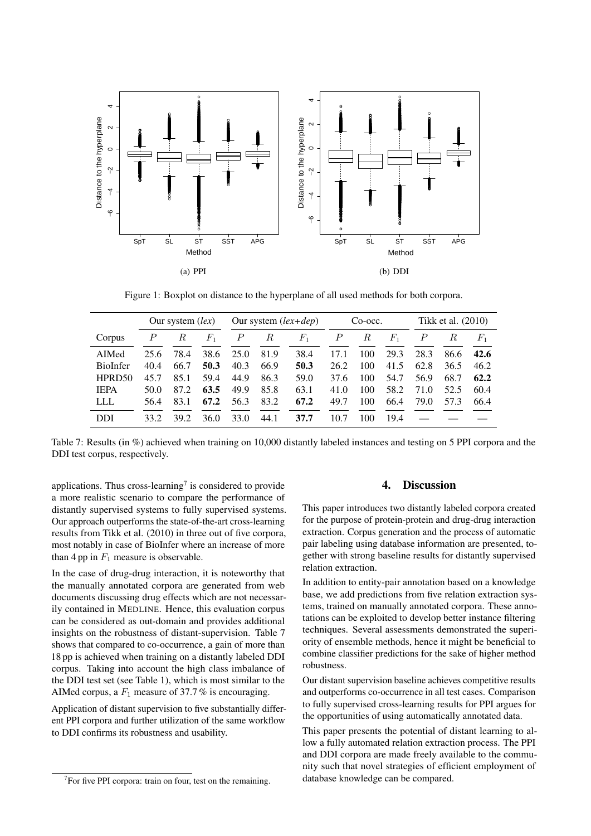

Figure 1: Boxplot on distance to the hyperplane of all used methods for both corpora.

|                    |      | Our system $(lex)$ |         | Our system $(lex+dep)$ |      |       | $Co\text{-}occ.$ |     |       | Tikk et al. (2010) |      |         |
|--------------------|------|--------------------|---------|------------------------|------|-------|------------------|-----|-------|--------------------|------|---------|
| Corpus             | P    | R                  | $F_{1}$ | $\boldsymbol{P}$       | R    | $F_1$ | P                | R   | $F_1$ | $\boldsymbol{P}$   | R    | $F_{1}$ |
| AIMed              | 25.6 | 78.4               | 38.6    | 25.0                   | 81.9 | 38.4  | 17.1             | 100 | 29.3  | 28.3               | 86.6 | 42.6    |
| <b>BioInfer</b>    | 40.4 | 66.7               | 50.3    | 40.3                   | 66.9 | 50.3  | 26.2             | 100 | 41.5  | 62.8               | 36.5 | 46.2    |
| HPRD <sub>50</sub> | 45.7 | 85.1               | 59.4    | 44.9                   | 86.3 | 59.0  | 37.6             | 100 | 54.7  | 56.9               | 68.7 | 62.2    |
| <b>IEPA</b>        | 50.0 | 87.2               | 63.5    | 49.9                   | 85.8 | 63.1  | 41.0             | 100 | 58.2  | 71.0               | 52.5 | 60.4    |
| LLL                | 56.4 | 83.1               | 67.2    | 56.3                   | 83.2 | 67.2  | 49.7             | 100 | 66.4  | 79.0               | 57.3 | 66.4    |
| <b>DDI</b>         | 33.2 | 39.2               | 36.0    | 33.0                   | 44.1 | 37.7  | 10.7             | 100 | 19.4  |                    |      |         |

Table 7: Results (in %) achieved when training on 10,000 distantly labeled instances and testing on 5 PPI corpora and the DDI test corpus, respectively.

applications. Thus cross-learning<sup>7</sup> is considered to provide a more realistic scenario to compare the performance of distantly supervised systems to fully supervised systems. Our approach outperforms the state-of-the-art cross-learning results from Tikk et al. (2010) in three out of five corpora, most notably in case of BioInfer where an increase of more than 4 pp in  $F_1$  measure is observable.

In the case of drug-drug interaction, it is noteworthy that the manually annotated corpora are generated from web documents discussing drug effects which are not necessarily contained in MEDLINE. Hence, this evaluation corpus can be considered as out-domain and provides additional insights on the robustness of distant-supervision. Table 7 shows that compared to co-occurrence, a gain of more than 18 pp is achieved when training on a distantly labeled DDI corpus. Taking into account the high class imbalance of the DDI test set (see Table 1), which is most similar to the AIMed corpus, a  $F_1$  measure of 37.7% is encouraging.

Application of distant supervision to five substantially different PPI corpora and further utilization of the same workflow to DDI confirms its robustness and usability.

## 4. Discussion

This paper introduces two distantly labeled corpora created for the purpose of protein-protein and drug-drug interaction extraction. Corpus generation and the process of automatic pair labeling using database information are presented, together with strong baseline results for distantly supervised relation extraction.

In addition to entity-pair annotation based on a knowledge base, we add predictions from five relation extraction systems, trained on manually annotated corpora. These annotations can be exploited to develop better instance filtering techniques. Several assessments demonstrated the superiority of ensemble methods, hence it might be beneficial to combine classifier predictions for the sake of higher method robustness.

Our distant supervision baseline achieves competitive results and outperforms co-occurrence in all test cases. Comparison to fully supervised cross-learning results for PPI argues for the opportunities of using automatically annotated data.

This paper presents the potential of distant learning to allow a fully automated relation extraction process. The PPI and DDI corpora are made freely available to the community such that novel strategies of efficient employment of database knowledge can be compared.

 $7$  For five PPI corpora: train on four, test on the remaining.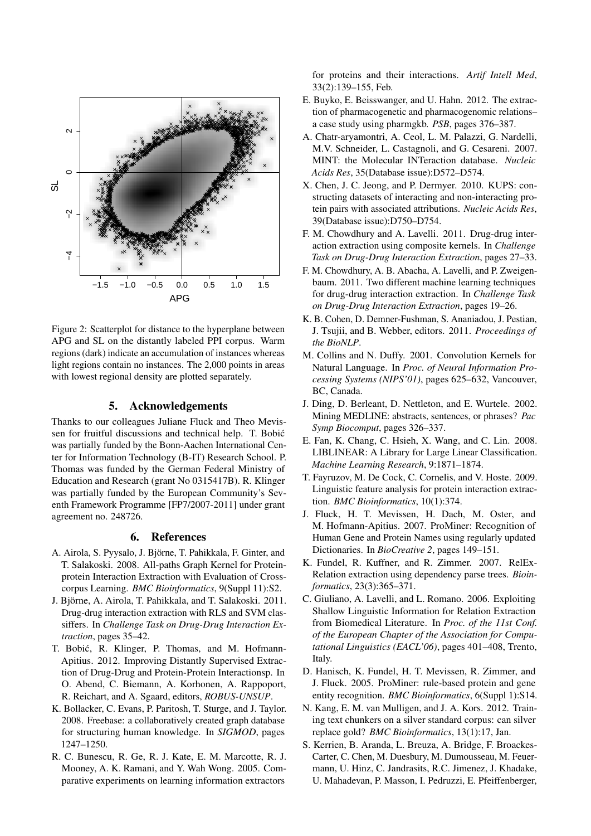

Figure 2: Scatterplot for distance to the hyperplane between APG and SL on the distantly labeled PPI corpus. Warm regions (dark) indicate an accumulation of instances whereas light regions contain no instances. The 2,000 points in areas with lowest regional density are plotted separately.

## 5. Acknowledgements

Thanks to our colleagues Juliane Fluck and Theo Mevissen for fruitful discussions and technical help. T. Bobic´ was partially funded by the Bonn-Aachen International Center for Information Technology (B-IT) Research School. P. Thomas was funded by the German Federal Ministry of Education and Research (grant No 0315417B). R. Klinger was partially funded by the European Community's Seventh Framework Programme [FP7/2007-2011] under grant agreement no. 248726.

#### 6. References

- A. Airola, S. Pyysalo, J. Bjorne, T. Pahikkala, F. Ginter, and ¨ T. Salakoski. 2008. All-paths Graph Kernel for Proteinprotein Interaction Extraction with Evaluation of Crosscorpus Learning. *BMC Bioinformatics*, 9(Suppl 11):S2.
- J. Björne, A. Airola, T. Pahikkala, and T. Salakoski. 2011. Drug-drug interaction extraction with RLS and SVM classiffers. In *Challenge Task on Drug-Drug Interaction Extraction*, pages 35–42.
- T. Bobić, R. Klinger, P. Thomas, and M. Hofmann-Apitius. 2012. Improving Distantly Supervised Extraction of Drug-Drug and Protein-Protein Interactionsp. In O. Abend, C. Biemann, A. Korhonen, A. Rappoport, R. Reichart, and A. Sgaard, editors, *ROBUS-UNSUP*.
- K. Bollacker, C. Evans, P. Paritosh, T. Sturge, and J. Taylor. 2008. Freebase: a collaboratively created graph database for structuring human knowledge. In *SIGMOD*, pages 1247–1250.
- R. C. Bunescu, R. Ge, R. J. Kate, E. M. Marcotte, R. J. Mooney, A. K. Ramani, and Y. Wah Wong. 2005. Comparative experiments on learning information extractors

for proteins and their interactions. *Artif Intell Med*, 33(2):139–155, Feb.

- E. Buyko, E. Beisswanger, and U. Hahn. 2012. The extraction of pharmacogenetic and pharmacogenomic relations– a case study using pharmgkb. *PSB*, pages 376–387.
- A. Chatr-aryamontri, A. Ceol, L. M. Palazzi, G. Nardelli, M.V. Schneider, L. Castagnoli, and G. Cesareni. 2007. MINT: the Molecular INTeraction database. *Nucleic Acids Res*, 35(Database issue):D572–D574.
- X. Chen, J. C. Jeong, and P. Dermyer. 2010. KUPS: constructing datasets of interacting and non-interacting protein pairs with associated attributions. *Nucleic Acids Res*, 39(Database issue):D750–D754.
- F. M. Chowdhury and A. Lavelli. 2011. Drug-drug interaction extraction using composite kernels. In *Challenge Task on Drug-Drug Interaction Extraction*, pages 27–33.
- F. M. Chowdhury, A. B. Abacha, A. Lavelli, and P. Zweigenbaum. 2011. Two different machine learning techniques for drug-drug interaction extraction. In *Challenge Task on Drug-Drug Interaction Extraction*, pages 19–26.
- K. B. Cohen, D. Demner-Fushman, S. Ananiadou, J. Pestian, J. Tsujii, and B. Webber, editors. 2011. *Proceedings of the BioNLP*.
- M. Collins and N. Duffy. 2001. Convolution Kernels for Natural Language. In *Proc. of Neural Information Processing Systems (NIPS'01)*, pages 625–632, Vancouver, BC, Canada.
- J. Ding, D. Berleant, D. Nettleton, and E. Wurtele. 2002. Mining MEDLINE: abstracts, sentences, or phrases? *Pac Symp Biocomput*, pages 326–337.
- E. Fan, K. Chang, C. Hsieh, X. Wang, and C. Lin. 2008. LIBLINEAR: A Library for Large Linear Classification. *Machine Learning Research*, 9:1871–1874.
- T. Fayruzov, M. De Cock, C. Cornelis, and V. Hoste. 2009. Linguistic feature analysis for protein interaction extraction. *BMC Bioinformatics*, 10(1):374.
- J. Fluck, H. T. Mevissen, H. Dach, M. Oster, and M. Hofmann-Apitius. 2007. ProMiner: Recognition of Human Gene and Protein Names using regularly updated Dictionaries. In *BioCreative 2*, pages 149–151.
- K. Fundel, R. Kuffner, and R. Zimmer. 2007. RelEx-Relation extraction using dependency parse trees. *Bioinformatics*, 23(3):365–371.
- C. Giuliano, A. Lavelli, and L. Romano. 2006. Exploiting Shallow Linguistic Information for Relation Extraction from Biomedical Literature. In *Proc. of the 11st Conf. of the European Chapter of the Association for Computational Linguistics (EACL'06)*, pages 401–408, Trento, Italy.
- D. Hanisch, K. Fundel, H. T. Mevissen, R. Zimmer, and J. Fluck. 2005. ProMiner: rule-based protein and gene entity recognition. *BMC Bioinformatics*, 6(Suppl 1):S14.
- N. Kang, E. M. van Mulligen, and J. A. Kors. 2012. Training text chunkers on a silver standard corpus: can silver replace gold? *BMC Bioinformatics*, 13(1):17, Jan.
- S. Kerrien, B. Aranda, L. Breuza, A. Bridge, F. Broackes-Carter, C. Chen, M. Duesbury, M. Dumousseau, M. Feuermann, U. Hinz, C. Jandrasits, R.C. Jimenez, J. Khadake, U. Mahadevan, P. Masson, I. Pedruzzi, E. Pfeiffenberger,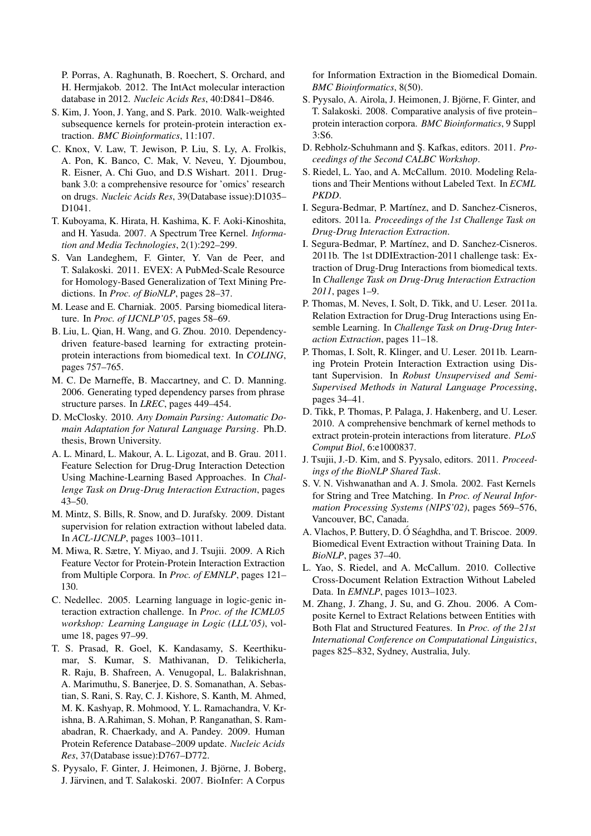P. Porras, A. Raghunath, B. Roechert, S. Orchard, and H. Hermjakob. 2012. The IntAct molecular interaction database in 2012. *Nucleic Acids Res*, 40:D841–D846.

- S. Kim, J. Yoon, J. Yang, and S. Park. 2010. Walk-weighted subsequence kernels for protein-protein interaction extraction. *BMC Bioinformatics*, 11:107.
- C. Knox, V. Law, T. Jewison, P. Liu, S. Ly, A. Frolkis, A. Pon, K. Banco, C. Mak, V. Neveu, Y. Djoumbou, R. Eisner, A. Chi Guo, and D.S Wishart. 2011. Drugbank 3.0: a comprehensive resource for 'omics' research on drugs. *Nucleic Acids Res*, 39(Database issue):D1035– D1041.
- T. Kuboyama, K. Hirata, H. Kashima, K. F. Aoki-Kinoshita, and H. Yasuda. 2007. A Spectrum Tree Kernel. *Information and Media Technologies*, 2(1):292–299.
- S. Van Landeghem, F. Ginter, Y. Van de Peer, and T. Salakoski. 2011. EVEX: A PubMed-Scale Resource for Homology-Based Generalization of Text Mining Predictions. In *Proc. of BioNLP*, pages 28–37.
- M. Lease and E. Charniak. 2005. Parsing biomedical literature. In *Proc. of IJCNLP'05*, pages 58–69.
- B. Liu, L. Qian, H. Wang, and G. Zhou. 2010. Dependencydriven feature-based learning for extracting proteinprotein interactions from biomedical text. In *COLING*, pages 757–765.
- M. C. De Marneffe, B. Maccartney, and C. D. Manning. 2006. Generating typed dependency parses from phrase structure parses. In *LREC*, pages 449–454.
- D. McClosky. 2010. *Any Domain Parsing: Automatic Domain Adaptation for Natural Language Parsing*. Ph.D. thesis, Brown University.
- A. L. Minard, L. Makour, A. L. Ligozat, and B. Grau. 2011. Feature Selection for Drug-Drug Interaction Detection Using Machine-Learning Based Approaches. In *Challenge Task on Drug-Drug Interaction Extraction*, pages 43–50.
- M. Mintz, S. Bills, R. Snow, and D. Jurafsky. 2009. Distant supervision for relation extraction without labeled data. In *ACL-IJCNLP*, pages 1003–1011.
- M. Miwa, R. Sætre, Y. Miyao, and J. Tsujii. 2009. A Rich Feature Vector for Protein-Protein Interaction Extraction from Multiple Corpora. In *Proc. of EMNLP*, pages 121– 130.
- C. Nedellec. 2005. Learning language in logic-genic interaction extraction challenge. In *Proc. of the ICML05 workshop: Learning Language in Logic (LLL'05)*, volume 18, pages 97–99.
- T. S. Prasad, R. Goel, K. Kandasamy, S. Keerthikumar, S. Kumar, S. Mathivanan, D. Telikicherla, R. Raju, B. Shafreen, A. Venugopal, L. Balakrishnan, A. Marimuthu, S. Banerjee, D. S. Somanathan, A. Sebastian, S. Rani, S. Ray, C. J. Kishore, S. Kanth, M. Ahmed, M. K. Kashyap, R. Mohmood, Y. L. Ramachandra, V. Krishna, B. A.Rahiman, S. Mohan, P. Ranganathan, S. Ramabadran, R. Chaerkady, and A. Pandey. 2009. Human Protein Reference Database–2009 update. *Nucleic Acids Res*, 37(Database issue):D767–D772.
- S. Pyysalo, F. Ginter, J. Heimonen, J. Björne, J. Boberg, J. Järvinen, and T. Salakoski. 2007. BioInfer: A Corpus

for Information Extraction in the Biomedical Domain. *BMC Bioinformatics*, 8(50).

- S. Pyysalo, A. Airola, J. Heimonen, J. Bjorne, F. Ginter, and ¨ T. Salakoski. 2008. Comparative analysis of five protein– protein interaction corpora. *BMC Bioinformatics*, 9 Suppl 3:S6.
- D. Rebholz-Schuhmann and S¸. Kafkas, editors. 2011. *Proceedings of the Second CALBC Workshop*.
- S. Riedel, L. Yao, and A. McCallum. 2010. Modeling Relations and Their Mentions without Labeled Text. In *ECML PKDD*.
- I. Segura-Bedmar, P. Martínez, and D. Sanchez-Cisneros, editors. 2011a. *Proceedings of the 1st Challenge Task on Drug-Drug Interaction Extraction*.
- I. Segura-Bedmar, P. Martínez, and D. Sanchez-Cisneros. 2011b. The 1st DDIExtraction-2011 challenge task: Extraction of Drug-Drug Interactions from biomedical texts. In *Challenge Task on Drug-Drug Interaction Extraction 2011*, pages 1–9.
- P. Thomas, M. Neves, I. Solt, D. Tikk, and U. Leser. 2011a. Relation Extraction for Drug-Drug Interactions using Ensemble Learning. In *Challenge Task on Drug-Drug Interaction Extraction*, pages 11–18.
- P. Thomas, I. Solt, R. Klinger, and U. Leser. 2011b. Learning Protein Protein Interaction Extraction using Distant Supervision. In *Robust Unsupervised and Semi-Supervised Methods in Natural Language Processing*, pages 34–41.
- D. Tikk, P. Thomas, P. Palaga, J. Hakenberg, and U. Leser. 2010. A comprehensive benchmark of kernel methods to extract protein-protein interactions from literature. *PLoS Comput Biol*, 6:e1000837.
- J. Tsujii, J.-D. Kim, and S. Pyysalo, editors. 2011. *Proceedings of the BioNLP Shared Task*.
- S. V. N. Vishwanathan and A. J. Smola. 2002. Fast Kernels for String and Tree Matching. In *Proc. of Neural Information Processing Systems (NIPS'02)*, pages 569–576, Vancouver, BC, Canada.
- A. Vlachos, P. Buttery, D. O Séaghdha, and T. Briscoe. 2009. Biomedical Event Extraction without Training Data. In *BioNLP*, pages 37–40.
- L. Yao, S. Riedel, and A. McCallum. 2010. Collective Cross-Document Relation Extraction Without Labeled Data. In *EMNLP*, pages 1013–1023.
- M. Zhang, J. Zhang, J. Su, and G. Zhou. 2006. A Composite Kernel to Extract Relations between Entities with Both Flat and Structured Features. In *Proc. of the 21st International Conference on Computational Linguistics*, pages 825–832, Sydney, Australia, July.